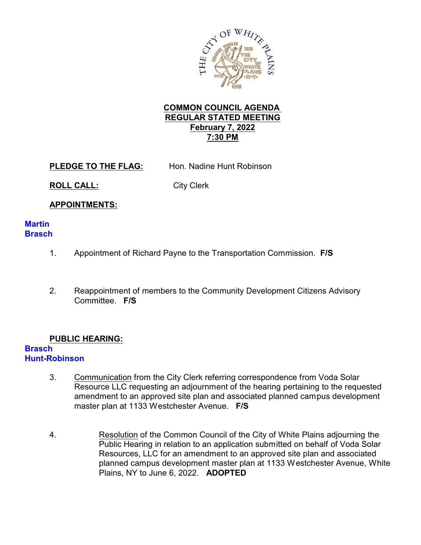

## **COMMON COUNCIL AGENDA REGULAR STATED MEETING February 7, 2022 7:30 PM**

**PLEDGE TO THE FLAG:** Hon. Nadine Hunt Robinson

**ROLL CALL:** City Clerk

# **APPOINTMENTS:**

### **Martin Brasch**

- 1. Appointment of Richard Payne to the Transportation Commission. **F/S**
- 2. Reappointment of members to the Community Development Citizens Advisory Committee. **F/S**

# **PUBLIC HEARING:**

#### **Brasch Hunt-Robinson**

- 3. Communication from the City Clerk referring correspondence from Voda Solar Resource LLC requesting an adjournment of the hearing pertaining to the requested amendment to an approved site plan and associated planned campus development master plan at 1133 Westchester Avenue. **F/S**
- 4. Resolution of the Common Council of the City of White Plains adjourning the Public Hearing in relation to an application submitted on behalf of Voda Solar Resources, LLC for an amendment to an approved site plan and associated planned campus development master plan at 1133 Westchester Avenue, White Plains, NY to June 6, 2022. **ADOPTED**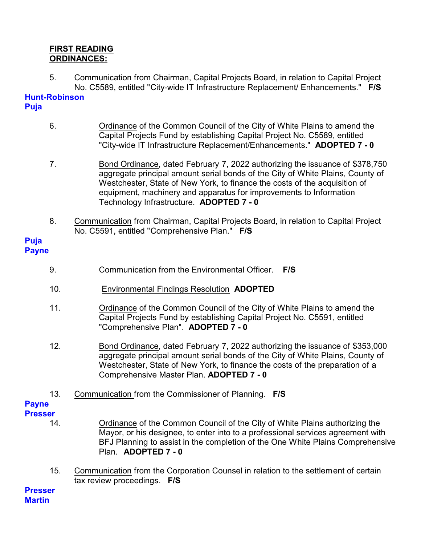### **FIRST READING ORDINANCES:**

5. Communication from Chairman, Capital Projects Board, in relation to Capital Project No. C5589, entitled "City-wide IT Infrastructure Replacement/ Enhancements." **F/S**

#### **Hunt-Robinson Puja**

- 6. Ordinance of the Common Council of the City of White Plains to amend the Capital Projects Fund by establishing Capital Project No. C5589, entitled "City-wide IT Infrastructure Replacement/Enhancements." **ADOPTED 7 - 0**
- 7. Bond Ordinance, dated February 7, 2022 authorizing the issuance of \$378,750 aggregate principal amount serial bonds of the City of White Plains, County of Westchester, State of New York, to finance the costs of the acquisition of equipment, machinery and apparatus for improvements to Information Technology Infrastructure. **ADOPTED 7 - 0**
- 8. Communication from Chairman, Capital Projects Board, in relation to Capital Project No. C5591, entitled "Comprehensive Plan." **F/S**

### **Puja Payne**

- 9. Communication from the Environmental Officer. **F/S**
- 10. Environmental Findings Resolution **ADOPTED**
- 11. Ordinance of the Common Council of the City of White Plains to amend the Capital Projects Fund by establishing Capital Project No. C5591, entitled "Comprehensive Plan". **ADOPTED 7 - 0**
- 12. Bond Ordinance, dated February 7, 2022 authorizing the issuance of \$353,000 aggregate principal amount serial bonds of the City of White Plains, County of Westchester, State of New York, to finance the costs of the preparation of a Comprehensive Master Plan. **ADOPTED 7 - 0**
- 13. Communication from the Commissioner of Planning. **F/S**

# **Payne**

- **Presser**
	- 14. Ordinance of the Common Council of the City of White Plains authorizing the Mayor, or his designee, to enter into to a professional services agreement with BFJ Planning to assist in the completion of the One White Plains Comprehensive Plan. **ADOPTED 7 - 0**
	- 15. Communication from the Corporation Counsel in relation to the settlement of certain tax review proceedings. **F/S**

**Presser Martin**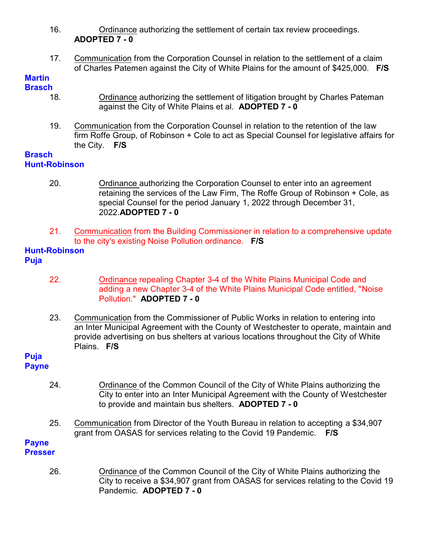- 16. Ordinance authorizing the settlement of certain tax review proceedings. **ADOPTED 7 - 0**
- 17. Communication from the Corporation Counsel in relation to the settlement of a claim of Charles Patemen against the City of White Plains for the amount of \$425,000. **F/S**

#### **Martin Brasch**

- 18. Ordinance authorizing the settlement of litigation brought by Charles Pateman against the City of White Plains et al. **ADOPTED 7 - 0**
- 19. Communication from the Corporation Counsel in relation to the retention of the law firm Roffe Group, of Robinson + Cole to act as Special Counsel for legislative affairs for the City. **F/S**

## **Brasch Hunt-Robinson**

- 20. Ordinance authorizing the Corporation Counsel to enter into an agreement retaining the services of the Law Firm, The Roffe Group of Robinson + Cole, as special Counsel for the period January 1, 2022 through December 31, 2022.**ADOPTED 7 - 0**
- 21. Communication from the Building Commissioner in relation to a comprehensive update to the city's existing Noise Pollution ordinance. **F/S**

### **Hunt-Robinson Puja**

- 22. Ordinance repealing Chapter 3-4 of the White Plains Municipal Code and adding a new Chapter 3-4 of the White Plains Municipal Code entitled, "Noise Pollution." **ADOPTED 7 - 0**
- 23. Communication from the Commissioner of Public Works in relation to entering into an Inter Municipal Agreement with the County of Westchester to operate, maintain and provide advertising on bus shelters at various locations throughout the City of White Plains. **F/S**

#### **Puja Payne**

- 24. Ordinance of the Common Council of the City of White Plains authorizing the City to enter into an Inter Municipal Agreement with the County of Westchester to provide and maintain bus shelters. **ADOPTED 7 - 0**
- 25. Communication from Director of the Youth Bureau in relation to accepting a \$34,907 grant from OASAS for services relating to the Covid 19 Pandemic. **F/S**

#### **Payne Presser**

26. Ordinance of the Common Council of the City of White Plains authorizing the City to receive a \$34,907 grant from OASAS for services relating to the Covid 19 Pandemic. **ADOPTED 7 - 0**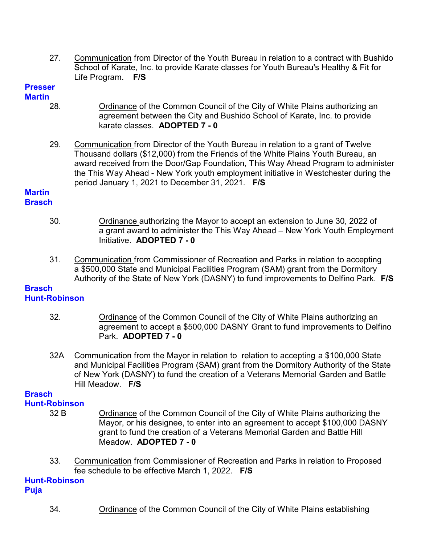27. Communication from Director of the Youth Bureau in relation to a contract with Bushido School of Karate, Inc. to provide Karate classes for Youth Bureau's Healthy & Fit for Life Program. **F/S**

#### **Presser Martin**

- 28. Ordinance of the Common Council of the City of White Plains authorizing an agreement between the City and Bushido School of Karate, Inc. to provide karate classes. **ADOPTED 7 - 0**
- 29. Communication from Director of the Youth Bureau in relation to a grant of Twelve Thousand dollars (\$12,000) from the Friends of the White Plains Youth Bureau, an award received from the Door/Gap Foundation, This Way Ahead Program to administer the This Way Ahead - New York youth employment initiative in Westchester during the period January 1, 2021 to December 31, 2021. **F/S**

#### **Martin Brasch**

- 30. Ordinance authorizing the Mayor to accept an extension to June 30, 2022 of a grant award to administer the This Way Ahead – New York Youth Employment Initiative. **ADOPTED 7 - 0**
- 31. Communication from Commissioner of Recreation and Parks in relation to accepting a \$500,000 State and Municipal Facilities Program (SAM) grant from the Dormitory Authority of the State of New York (DASNY) to fund improvements to Delfino Park. **F/S**

#### **Brasch Hunt-Robinson**

- 32. Ordinance of the Common Council of the City of White Plains authorizing an agreement to accept a \$500,000 DASNY Grant to fund improvements to Delfino Park. **ADOPTED 7 - 0**
- 32A Communication from the Mayor in relation to relation to accepting a \$100,000 State and Municipal Facilities Program (SAM) grant from the Dormitory Authority of the State of New York (DASNY) to fund the creation of a Veterans Memorial Garden and Battle Hill Meadow. **F/S**

# **Brasch**

- **Hunt-Robinson**
	-
	- 32 B Ordinance of the Common Council of the City of White Plains authorizing the Mayor, or his designee, to enter into an agreement to accept \$100,000 DASNY grant to fund the creation of a Veterans Memorial Garden and Battle Hill Meadow. **ADOPTED 7 - 0**
	- 33. Communication from Commissioner of Recreation and Parks in relation to Proposed fee schedule to be effective March 1, 2022. **F/S**

#### **Hunt-Robinson Puja**

34. Ordinance of the Common Council of the City of White Plains establishing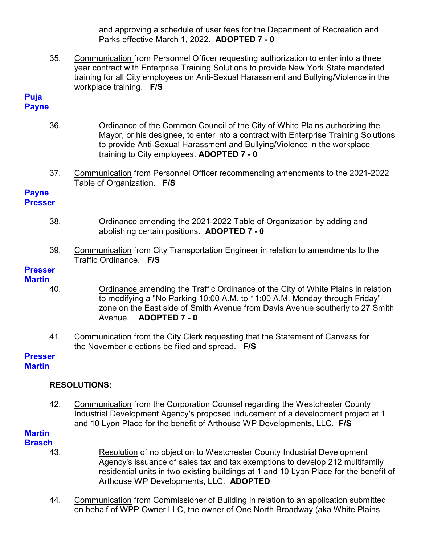and approving a schedule of user fees for the Department of Recreation and Parks effective March 1, 2022. **ADOPTED 7 - 0**

35. Communication from Personnel Officer requesting authorization to enter into a three year contract with Enterprise Training Solutions to provide New York State mandated training for all City employees on Anti-Sexual Harassment and Bullying/Violence in the workplace training. **F/S**

#### **Puja Payne**

- 36. Ordinance of the Common Council of the City of White Plains authorizing the Mayor, or his designee, to enter into a contract with Enterprise Training Solutions to provide Anti-Sexual Harassment and Bullying/Violence in the workplace training to City employees. **ADOPTED 7 - 0**
- 37. Communication from Personnel Officer recommending amendments to the 2021-2022 Table of Organization. **F/S**

#### **Payne Presser**

- 38. Ordinance amending the 2021-2022 Table of Organization by adding and abolishing certain positions. **ADOPTED 7 - 0**
- 39. Communication from City Transportation Engineer in relation to amendments to the Traffic Ordinance. **F/S**

#### **Presser Martin**

- 40. Ordinance amending the Traffic Ordinance of the City of White Plains in relation to modifying a "No Parking 10:00 A.M. to 11:00 A.M. Monday through Friday" zone on the East side of Smith Avenue from Davis Avenue southerly to 27 Smith Avenue. **ADOPTED 7 - 0**
- 41. Communication from the City Clerk requesting that the Statement of Canvass for the November elections be filed and spread. **F/S**

# **Presser**

### **Martin**

# **RESOLUTIONS:**

42. Communication from the Corporation Counsel regarding the Westchester County Industrial Development Agency's proposed inducement of a development project at 1 and 10 Lyon Place for the benefit of Arthouse WP Developments, LLC. **F/S**

#### **Martin Brasch**

- 43. Resolution of no objection to Westchester County Industrial Development Agency's issuance of sales tax and tax exemptions to develop 212 multifamily residential units in two existing buildings at 1 and 10 Lyon Place for the benefit of Arthouse WP Developments, LLC. **ADOPTED**
- 44. Communication from Commissioner of Building in relation to an application submitted on behalf of WPP Owner LLC, the owner of One North Broadway (aka White Plains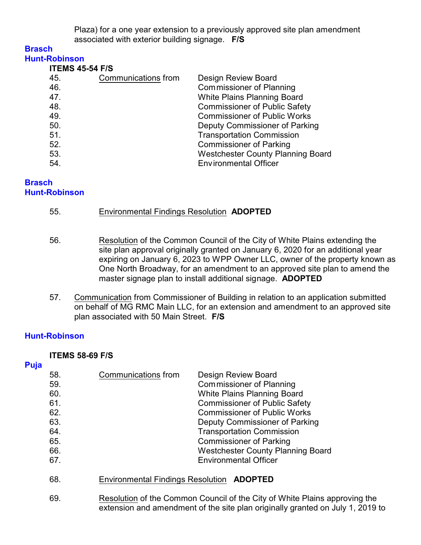Plaza) for a one year extension to a previously approved site plan amendment associated with exterior building signage. **F/S**

#### **Brasch Hunt-Robinson**

| .                      |  |
|------------------------|--|
| <b>ITEMS 45-54 F/S</b> |  |

| $11$ = $110$ $-10$ $-110$ |                     |                                          |
|---------------------------|---------------------|------------------------------------------|
| 45.                       | Communications from | <b>Design Review Board</b>               |
| 46.                       |                     | <b>Commissioner of Planning</b>          |
| 47.                       |                     | White Plains Planning Board              |
| 48.                       |                     | <b>Commissioner of Public Safety</b>     |
| 49.                       |                     | <b>Commissioner of Public Works</b>      |
| 50.                       |                     | Deputy Commissioner of Parking           |
| 51.                       |                     | <b>Transportation Commission</b>         |
| 52.                       |                     | <b>Commissioner of Parking</b>           |
| 53.                       |                     | <b>Westchester County Planning Board</b> |
| 54.                       |                     | <b>Environmental Officer</b>             |
|                           |                     |                                          |

## **Brasch Hunt-Robinson**

|  | 55. | <b>Environmental Findings Resolution ADOPTED</b> |  |
|--|-----|--------------------------------------------------|--|
|--|-----|--------------------------------------------------|--|

- 56. Resolution of the Common Council of the City of White Plains extending the site plan approval originally granted on January 6, 2020 for an additional year expiring on January 6, 2023 to WPP Owner LLC, owner of the property known as One North Broadway, for an amendment to an approved site plan to amend the master signage plan to install additional signage. **ADOPTED**
- 57. Communication from Commissioner of Building in relation to an application submitted on behalf of MG RMC Main LLC, for an extension and amendment to an approved site plan associated with 50 Main Street. **F/S**

# **Hunt-Robinson**

### **ITEMS 58-69 F/S**

### **Puja**

| 58.<br>59.<br>60.<br>61.<br>62.<br>63.<br>64.<br>65.<br>66. | Communications from<br>Design Review Board<br>Commissioner of Planning<br>White Plains Planning Board<br><b>Commissioner of Public Safety</b><br><b>Commissioner of Public Works</b><br>Deputy Commissioner of Parking<br><b>Transportation Commission</b><br><b>Commissioner of Parking</b><br><b>Westchester County Planning Board</b> |  |
|-------------------------------------------------------------|------------------------------------------------------------------------------------------------------------------------------------------------------------------------------------------------------------------------------------------------------------------------------------------------------------------------------------------|--|
| 67.                                                         | <b>Environmental Officer</b>                                                                                                                                                                                                                                                                                                             |  |
| 68.                                                         | Environmental Findings Resolution <b>ADOPTED</b>                                                                                                                                                                                                                                                                                         |  |
| 69.                                                         | Resolution of the Common Council of the City of White Plains approving the<br>extension and amendment of the site plan originally granted on July 1, 2019 to                                                                                                                                                                             |  |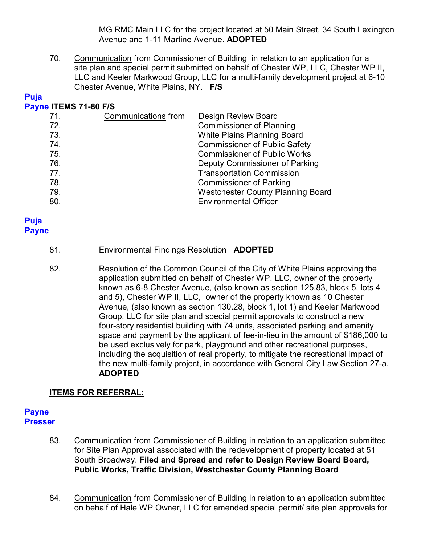MG RMC Main LLC for the project located at 50 Main Street, 34 South Lexington Avenue and 1-11 Martine Avenue. **ADOPTED**

70. Communication from Commissioner of Building in relation to an application for a site plan and special permit submitted on behalf of Chester WP, LLC, Chester WP II, LLC and Keeler Markwood Group, LLC for a multi-family development project at 6-10 Chester Avenue, White Plains, NY. **F/S**

# **Puja**

### **Payne ITEMS 71-80 F/S**

| 71. | Communications from | <b>Design Review Board</b>               |
|-----|---------------------|------------------------------------------|
| 72. |                     | <b>Commissioner of Planning</b>          |
| 73. |                     | White Plains Planning Board              |
| 74. |                     | <b>Commissioner of Public Safety</b>     |
| 75. |                     | <b>Commissioner of Public Works</b>      |
| 76. |                     | Deputy Commissioner of Parking           |
| 77. |                     | <b>Transportation Commission</b>         |
| 78. |                     | <b>Commissioner of Parking</b>           |
| 79. |                     | <b>Westchester County Planning Board</b> |
| 80. |                     | <b>Environmental Officer</b>             |

#### **Puja Payne**

### 81. Environmental Findings Resolution **ADOPTED**

82. Resolution of the Common Council of the City of White Plains approving the application submitted on behalf of Chester WP, LLC, owner of the property known as 6-8 Chester Avenue, (also known as section 125.83, block 5, lots 4 and 5), Chester WP II, LLC, owner of the property known as 10 Chester Avenue, (also known as section 130.28, block 1, lot 1) and Keeler Markwood Group, LLC for site plan and special permit approvals to construct a new four-story residential building with 74 units, associated parking and amenity space and payment by the applicant of fee-in-lieu in the amount of \$186,000 to be used exclusively for park, playground and other recreational purposes, including the acquisition of real property, to mitigate the recreational impact of the new multi-family project, in accordance with General City Law Section 27-a. **ADOPTED**

# **ITEMS FOR REFERRAL:**

#### **Payne Presser**

- 83. Communication from Commissioner of Building in relation to an application submitted for Site Plan Approval associated with the redevelopment of property located at 51 South Broadway. **Filed and Spread and refer to Design Review Board Board, Public Works, Traffic Division, Westchester County Planning Board**
- 84. Communication from Commissioner of Building in relation to an application submitted on behalf of Hale WP Owner, LLC for amended special permit/ site plan approvals for